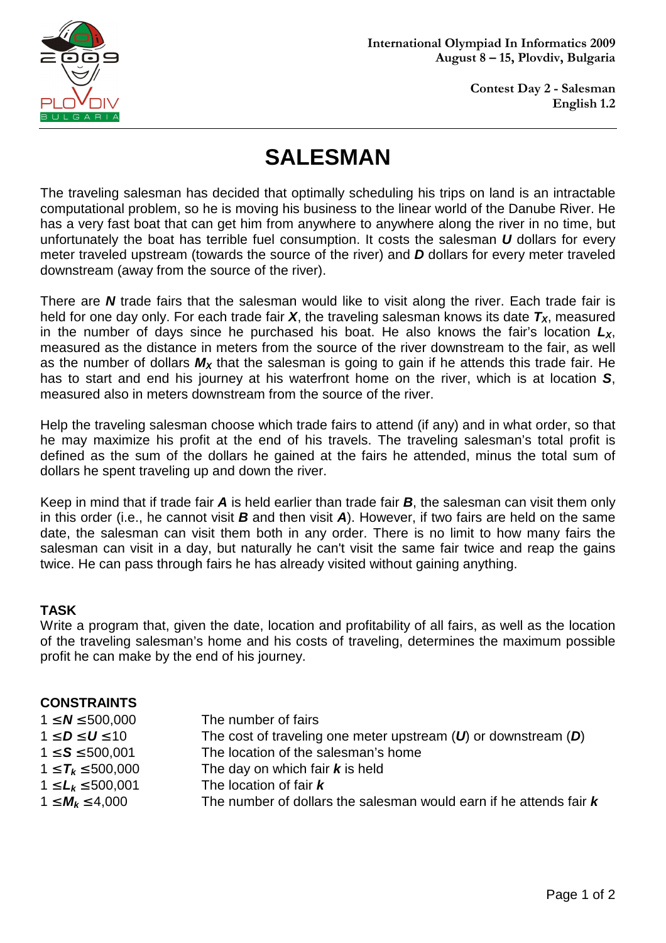

**Contest Day 2 - Salesman English 1.2**

# **SALESMAN**

The traveling salesman has decided that optimally scheduling his trips on land is an intractable computational problem, so he is moving his business to the linear world of the Danube River. He has a very fast boat that can get him from anywhere to anywhere along the river in no time, but unfortunately the boat has terrible fuel consumption. It costs the salesman **U** dollars for every meter traveled upstream (towards the source of the river) and **D** dollars for every meter traveled downstream (away from the source of the river).

There are **N** trade fairs that the salesman would like to visit along the river. Each trade fair is held for one day only. For each trade fair **X**, the traveling salesman knows its date  $T_x$ , measured in the number of days since he purchased his boat. He also knows the fair's location **LX**, measured as the distance in meters from the source of the river downstream to the fair, as well as the number of dollars  $M_X$  that the salesman is going to gain if he attends this trade fair. He has to start and end his journey at his waterfront home on the river, which is at location **S**, measured also in meters downstream from the source of the river.

Help the traveling salesman choose which trade fairs to attend (if any) and in what order, so that he may maximize his profit at the end of his travels. The traveling salesman's total profit is defined as the sum of the dollars he gained at the fairs he attended, minus the total sum of dollars he spent traveling up and down the river.

Keep in mind that if trade fair **A** is held earlier than trade fair **B**, the salesman can visit them only in this order (i.e., he cannot visit **B** and then visit **A**). However, if two fairs are held on the same date, the salesman can visit them both in any order. There is no limit to how many fairs the salesman can visit in a day, but naturally he can't visit the same fair twice and reap the gains twice. He can pass through fairs he has already visited without gaining anything.

# **TASK**

Write a program that, given the date, location and profitability of all fairs, as well as the location of the traveling salesman's home and his costs of traveling, determines the maximum possible profit he can make by the end of his journey.

# **CONSTRAINTS**

| $1 \le N \le 500,000$     | The number of fairs                                                               |
|---------------------------|-----------------------------------------------------------------------------------|
| $1 \leq D \leq U \leq 10$ | The cost of traveling one meter upstream $(U)$ or downstream $(D)$                |
| $1 \le S \le 500,001$     | The location of the salesman's home                                               |
| $1 \le T_k \le 500,000$   | The day on which fair $k$ is held                                                 |
| $1 \le L_k \le 500,001$   | The location of fair $k$                                                          |
| $1 \le M_k \le 4,000$     | The number of dollars the salesman would earn if he attends fair $\boldsymbol{k}$ |